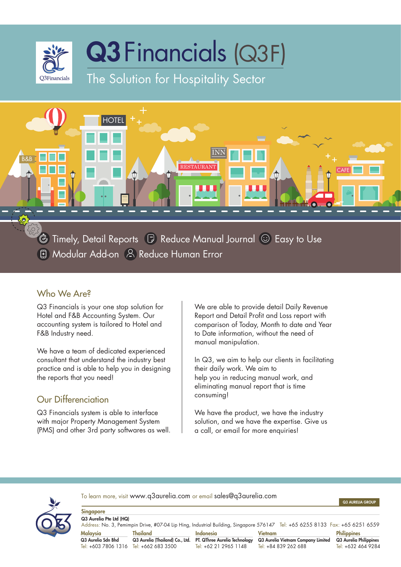



**& Timely, Detail Reports B** Reduce Manual Journal **C** Easy to Use **E** Modular Add-on A Reduce Human Error

### Who We Are?

Q3 Financials is your one stop solution for Hotel and F&B Accounting System. Our accounting system is tailored to Hotel and F&B Industry need.

We have a team of dedicated experienced consultant that understand the industry best practice and is able to help you in designing the reports that you need!

## Our Differenciation

Q3 Financials system is able to interface with major Property Management System (PMS) and other 3rd party softwares as well. We are able to provide detail Daily Revenue Report and Detail Profit and Loss report with comparison of Today, Month to date and Year to Date information, without the need of manual manipulation.

In Q3, we aim to help our clients in facilitating their daily work. We aim to help you in reducing manual work, and eliminating manual report that is time consuming!

We have the product, we have the industry solution, and we have the expertise. Give us a call, or email for more enquiries!



To learn more, visit www.q3aurelia.com or email sales@q3aurelia.com

Q3 AURELIA GROUP

| Singapore                                                                                                                    |                                 |                               |                                    |                        |
|------------------------------------------------------------------------------------------------------------------------------|---------------------------------|-------------------------------|------------------------------------|------------------------|
| Q3 Aurelia Pte Ltd (HQ)                                                                                                      |                                 |                               |                                    |                        |
| Address: No. 3, Pemimpin Drive, #07-04 Lip Hing, Industrial Building, Singapore 576147 Tel: +65 6255 8133 Fax: +65 6251 6559 |                                 |                               |                                    |                        |
| Malaysia                                                                                                                     | Thailand                        | Indonesia                     | <b>Vietnam</b>                     | <b>Philippines</b>     |
| Q3 Aurelia Sdn Bhd                                                                                                           | Q3 Aurelia (Thailand) Co., Ltd. | PT. QThree Aurelia Technology | Q3 Aurelia Vietnam Company Limited | Q3 Aurelia Philippines |
| Tel: $+603$ 7806 1316 Tel: $+662$ 683 3500                                                                                   |                                 | Tel: +62 21 2965 1148         | Tel: +84 839 262 688               | Tel: +632 464 9284     |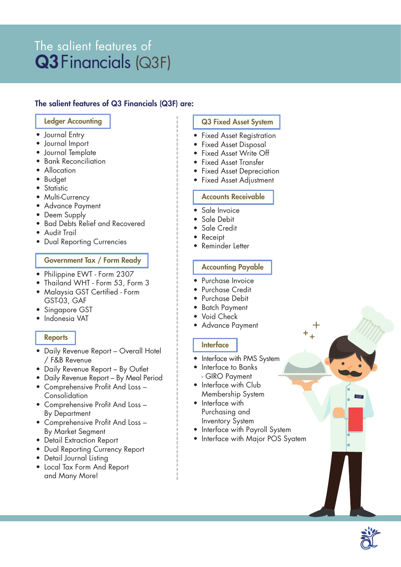# The salient features of Q3 Financials (Q3F)

#### The salient features of Q3 Financials (Q3F) are:

#### Ledger Accounting

- Journal Entry
- Journal Import
- Journal Template
- Bank Reconciliation
- Allocation
- Budget
- Statistic
- Multi-Currency
- Advance Payment
- Deem Supply
- Bad Debts Relief and Recovered
- Audit Trail
- Dual Reporting Currencies

#### Government Tax / Form Ready

- Philippine EWT Form 2307
- Thailand WHT Form 53, Form 3
- Malaysia GST Certified Form GST-03, GAF
- Singapore GST
- Indonesia VAT

#### **Reports**

- Daily Revenue Report Overall Hotel / F&B Revenue
- Daily Revenue Report By Outlet
- Daily Revenue Report By Meal Period
- Comprehensive Profit And Loss Consolidation
- Comprehensive Profit And Loss By Department
- Comprehensive Profit And Loss By Market Segment
- Detail Extraction Report
- Dual Reporting Currency Report
- Detail Journal Listing
- Local Tax Form And Report and Many More!

#### Q3 Fixed Asset System

- Fixed Asset Registration
- Fixed Asset Disposal
- Fixed Asset Write Off
- Fixed Asset Transfer
- Fixed Asset Depreciation
- Fixed Asset Adjustment

#### Accounts Receivable

- Sale Invoice
- Sale Debit
- Sale Credit
- Receipt
- Reminder Letter

#### Accounting Payable

- Purchase Invoice
- Purchase Credit
- Purchase Debit
- Batch Payment
- Void Check
- Advance Payment

#### Interface

- Interface with PMS System
- Interface to Banks - GIRO Payment
- Interface with Club Membership System
- Interface with Purchasing and Inventory System
- Interface with Payroll System
- Interface with Major POS Syatem



Q3F